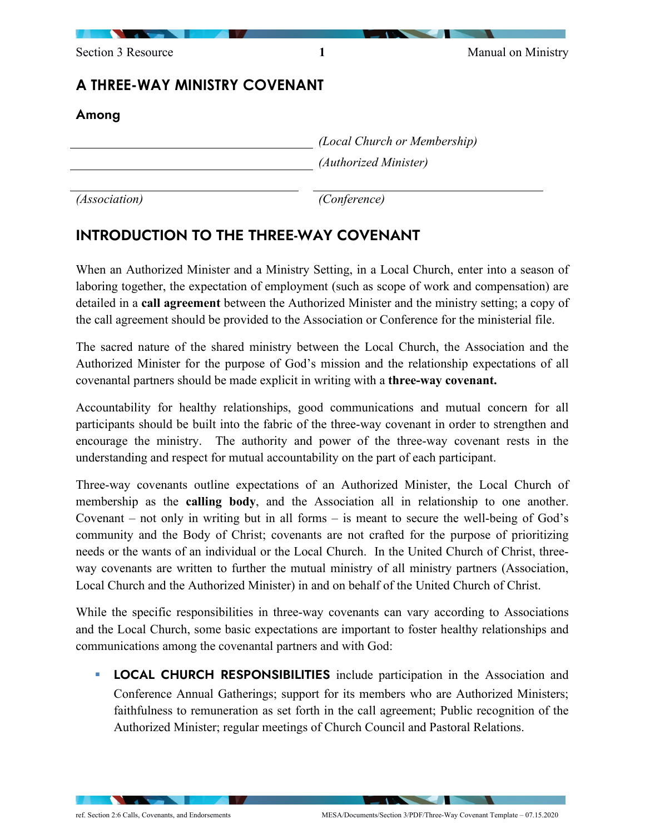| Section 3 Resource            | 1 | Manual on Ministry                                    |  |
|-------------------------------|---|-------------------------------------------------------|--|
| A THREE-WAY MINISTRY COVENANT |   |                                                       |  |
| Among                         |   |                                                       |  |
|                               |   | (Local Church or Membership)<br>(Authorized Minister) |  |
|                               |   |                                                       |  |
|                               |   |                                                       |  |

*(Association) (Conference)*

# INTRODUCTION TO THE THREE-WAY COVENANT

When an Authorized Minister and a Ministry Setting, in a Local Church, enter into a season of laboring together, the expectation of employment (such as scope of work and compensation) are detailed in a **call agreement** between the Authorized Minister and the ministry setting; a copy of the call agreement should be provided to the Association or Conference for the ministerial file.

The sacred nature of the shared ministry between the Local Church, the Association and the Authorized Minister for the purpose of God's mission and the relationship expectations of all covenantal partners should be made explicit in writing with a **three-way covenant.**

Accountability for healthy relationships, good communications and mutual concern for all participants should be built into the fabric of the three-way covenant in order to strengthen and encourage the ministry. The authority and power of the three-way covenant rests in the understanding and respect for mutual accountability on the part of each participant.

Three-way covenants outline expectations of an Authorized Minister, the Local Church of membership as the **calling body**, and the Association all in relationship to one another. Covenant – not only in writing but in all forms – is meant to secure the well-being of God's community and the Body of Christ; covenants are not crafted for the purpose of prioritizing needs or the wants of an individual or the Local Church. In the United Church of Christ, threeway covenants are written to further the mutual ministry of all ministry partners (Association, Local Church and the Authorized Minister) in and on behalf of the United Church of Christ.

While the specific responsibilities in three-way covenants can vary according to Associations and the Local Church, some basic expectations are important to foster healthy relationships and communications among the covenantal partners and with God:

**LOCAL CHURCH RESPONSIBILITIES** include participation in the Association and Conference Annual Gatherings; support for its members who are Authorized Ministers; faithfulness to remuneration as set forth in the call agreement; Public recognition of the Authorized Minister; regular meetings of Church Council and Pastoral Relations.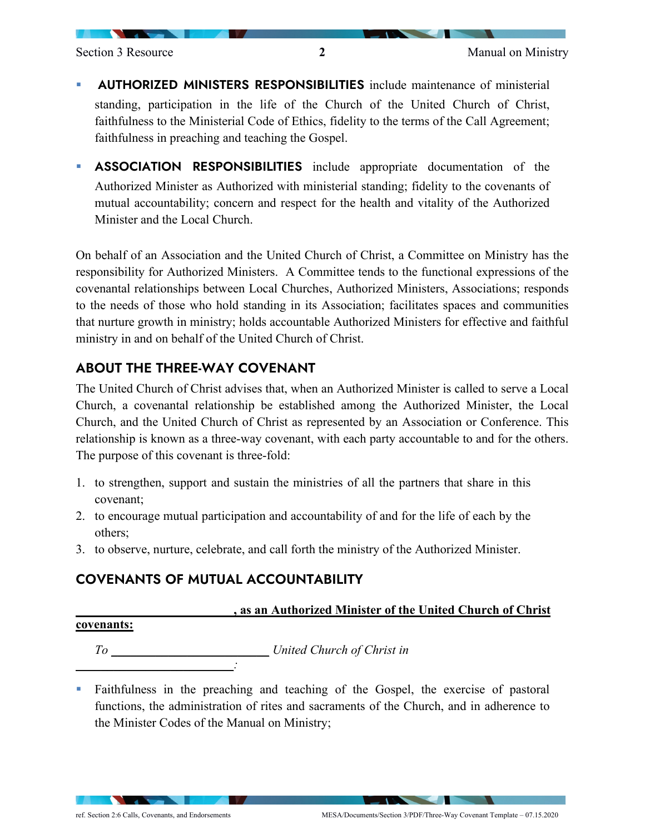- AUTHORIZED MINISTERS RESPONSIBILITIES include maintenance of ministerial standing, participation in the life of the Church of the United Church of Christ, faithfulness to the Ministerial Code of Ethics, fidelity to the terms of the Call Agreement; faithfulness in preaching and teaching the Gospel.
- ASSOCIATION RESPONSIBILITIES include appropriate documentation of the Authorized Minister as Authorized with ministerial standing; fidelity to the covenants of mutual accountability; concern and respect for the health and vitality of the Authorized Minister and the Local Church.

On behalf of an Association and the United Church of Christ, a Committee on Ministry has the responsibility for Authorized Ministers. A Committee tends to the functional expressions of the covenantal relationships between Local Churches, Authorized Ministers, Associations; responds to the needs of those who hold standing in its Association; facilitates spaces and communities that nurture growth in ministry; holds accountable Authorized Ministers for effective and faithful ministry in and on behalf of the United Church of Christ.

# ABOUT THE THREE-WAY COVENANT

The United Church of Christ advises that, when an Authorized Minister is called to serve a Local Church, a covenantal relationship be established among the Authorized Minister, the Local Church, and the United Church of Christ as represented by an Association or Conference. This relationship is known as a three-way covenant, with each party accountable to and for the others. The purpose of this covenant is three-fold:

- 1. to strengthen, support and sustain the ministries of all the partners that share in this covenant;
- 2. to encourage mutual participation and accountability of and for the life of each by the others;
- 3. to observe, nurture, celebrate, and call forth the ministry of the Authorized Minister.

# COVENANTS OF MUTUAL ACCOUNTABILITY

#### **\_\_\_\_\_\_\_\_\_\_\_\_\_\_\_\_\_\_\_\_\_\_\_\_\_, as an Authorized Minister of the United Church of Christ**

#### **covenants:**

*To \_\_\_\_\_\_\_\_\_\_\_\_\_\_\_\_\_\_\_\_\_\_\_\_\_ United Church of Christ in \_\_\_\_\_\_\_\_\_\_\_\_\_\_\_\_\_\_\_\_\_\_\_\_\_:*

 Faithfulness in the preaching and teaching of the Gospel, the exercise of pastoral functions, the administration of rites and sacraments of the Church, and in adherence to the Minister Codes of the Manual on Ministry;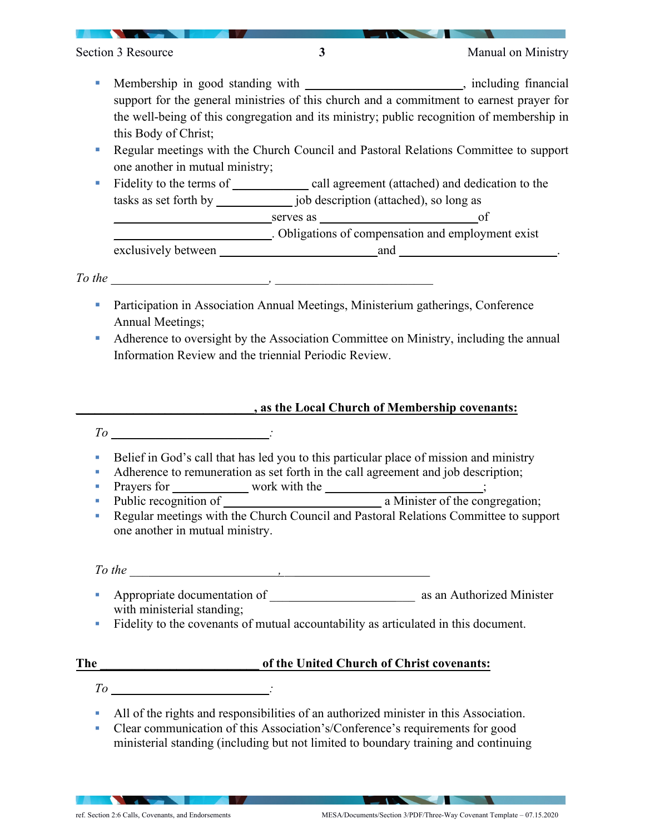- Membership in good standing with *\_\_\_\_\_\_\_\_\_\_\_\_\_\_\_\_\_\_\_\_\_\_\_\_\_*, including financial support for the general ministries of this church and a commitment to earnest prayer for the well-being of this congregation and its ministry; public recognition of membership in this Body of Christ;
- Regular meetings with the Church Council and Pastoral Relations Committee to support one another in mutual ministry;
- Fidelity to the terms of \_\_\_\_\_\_\_\_\_\_\_\_\_\_\_\_ call agreement (attached) and dedication to the tasks as set forth by \_\_\_\_\_\_\_\_\_\_\_\_ job description (attached), so long as

serves as *of* 

*\_\_\_\_\_\_\_\_\_\_\_\_\_\_\_\_\_\_\_\_\_\_\_\_\_*. Obligations of compensation and employment exist exclusively between *\_\_\_\_\_\_\_\_\_\_\_\_\_\_\_\_\_\_\_\_\_\_\_\_\_*and *\_\_\_\_\_\_\_\_\_\_\_\_\_\_\_\_\_\_\_\_\_\_\_\_\_*.

*To the \_\_\_\_\_\_\_\_\_\_\_\_\_\_\_\_\_\_\_\_\_\_\_\_\_, \_\_\_\_\_\_\_\_\_\_\_\_\_\_\_\_\_\_\_\_\_\_\_\_\_*

- **Participation in Association Annual Meetings, Ministerium gatherings, Conference** Annual Meetings;
- Adherence to oversight by the Association Committee on Ministry, including the annual Information Review and the triennial Periodic Review.

### **\_\_\_\_\_\_\_\_\_\_\_\_\_\_\_\_\_\_\_\_\_\_\_\_\_\_\_\_, as the Local Church of Membership covenants:**

*To \_\_\_\_\_\_\_\_\_\_\_\_\_\_\_\_\_\_\_\_\_\_\_\_\_:*

- Belief in God's call that has led you to this particular place of mission and ministry
- Adherence to remuneration as set forth in the call agreement and job description;
- Prayers for \_\_\_\_\_\_\_\_\_\_\_\_\_\_ work with the \_\_\_\_\_\_\_\_\_\_\_\_\_\_\_\_\_\_\_\_\_\_\_\_\_;
- Public recognition of *\_\_\_\_\_\_\_\_\_\_\_\_\_\_\_\_\_\_\_\_\_\_\_\_\_\_\_\_\_\_* a Minister of the congregation;
- Regular meetings with the Church Council and Pastoral Relations Committee to support one another in mutual ministry.

### *To the \_\_\_\_\_\_\_\_\_\_\_\_\_\_\_\_\_\_\_\_\_\_\_ , \_\_\_\_\_\_\_\_\_\_\_\_\_\_\_\_\_\_\_\_\_\_\_*

- Appropriate documentation of \_\_\_*\_\_\_\_\_\_\_\_\_\_\_\_\_\_\_\_\_\_\_\_* as an Authorized Minister with ministerial standing;
- Fidelity to the covenants of mutual accountability as articulated in this document.

# **The \_\_\_\_\_\_\_\_\_\_\_\_\_\_\_\_\_\_\_\_\_\_\_\_\_ of the United Church of Christ covenants:**

- *To \_\_\_\_\_\_\_\_\_\_\_\_\_\_\_\_\_\_\_\_\_\_\_\_\_:*
- All of the rights and responsibilities of an authorized minister in this Association.
- Clear communication of this Association's/Conference's requirements for good ministerial standing (including but not limited to boundary training and continuing

**The Community of the Community**